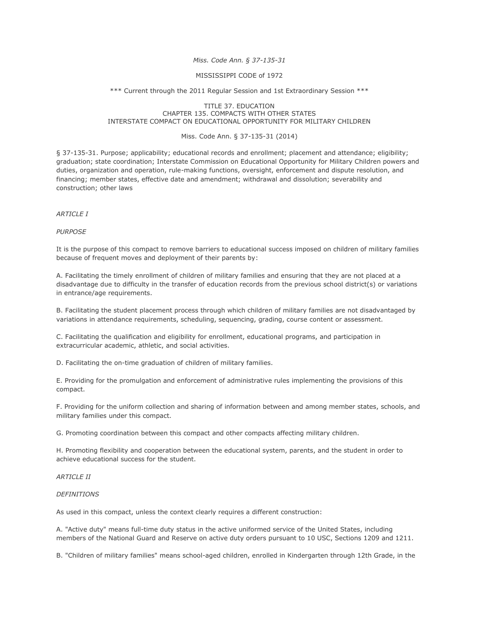## *Miss. Code Ann. § 37-135-31*

### MISSISSIPPI CODE of 1972

\*\*\* Current through the 2011 Regular Session and 1st Extraordinary Session \*\*\*

### TITLE 37. EDUCATION CHAPTER 135. COMPACTS WITH OTHER STATES INTERSTATE COMPACT ON EDUCATIONAL OPPORTUNITY FOR MILITARY CHILDREN

### Miss. Code Ann. § 37-135-31 (2014)

§ 37-135-31. Purpose; applicability; educational records and enrollment; placement and attendance; eligibility; graduation; state coordination; Interstate Commission on Educational Opportunity for Military Children powers and duties, organization and operation, rule-making functions, oversight, enforcement and dispute resolution, and financing; member states, effective date and amendment; withdrawal and dissolution; severability and construction; other laws

#### *ARTICLE I*

*PURPOSE*

It is the purpose of this compact to remove barriers to educational success imposed on children of military families because of frequent moves and deployment of their parents by:

A. Facilitating the timely enrollment of children of military families and ensuring that they are not placed at a disadvantage due to difficulty in the transfer of education records from the previous school district(s) or variations in entrance/age requirements.

B. Facilitating the student placement process through which children of military families are not disadvantaged by variations in attendance requirements, scheduling, sequencing, grading, course content or assessment.

C. Facilitating the qualification and eligibility for enrollment, educational programs, and participation in extracurricular academic, athletic, and social activities.

D. Facilitating the on-time graduation of children of military families.

E. Providing for the promulgation and enforcement of administrative rules implementing the provisions of this compact.

F. Providing for the uniform collection and sharing of information between and among member states, schools, and military families under this compact.

G. Promoting coordination between this compact and other compacts affecting military children.

H. Promoting flexibility and cooperation between the educational system, parents, and the student in order to achieve educational success for the student.

### **ARTICLE II**

### *DEFINITIONS*

As used in this compact, unless the context clearly requires a different construction:

A. "Active duty" means full-time duty status in the active uniformed service of the United States, including members of the National Guard and Reserve on active duty orders pursuant to 10 USC, Sections 1209 and 1211.

B. "Children of military families" means school-aged children, enrolled in Kindergarten through 12th Grade, in the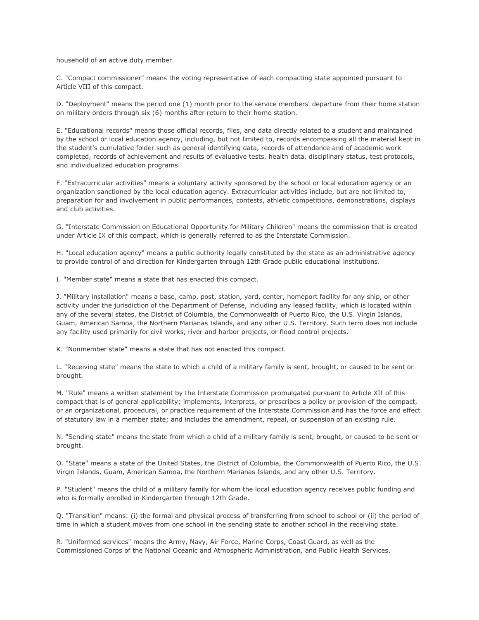household of an active duty member.

C. "Compact commissioner" means the voting representative of each compacting state appointed pursuant to Article VIII of this compact.

D. "Deployment" means the period one (1) month prior to the service members' departure from their home station on military orders through six (6) months after return to their home station.

E. "Educational records" means those official records, files, and data directly related to a student and maintained by the school or local education agency, including, but not limited to, records encompassing all the material kept in the student's cumulative folder such as general identifying data, records of attendance and of academic work completed, records of achievement and results of evaluative tests, health data, disciplinary status, test protocols, and individualized education programs.

F. "Extracurricular activities" means a voluntary activity sponsored by the school or local education agency or an organization sanctioned by the local education agency. Extracurricular activities include, but are not limited to, preparation for and involvement in public performances, contests, athletic competitions, demonstrations, displays and club activities.

G. "Interstate Commission on Educational Opportunity for Military Children" means the commission that is created under Article IX of this compact, which is generally referred to as the Interstate Commission.

H. "Local education agency" means a public authority legally constituted by the state as an administrative agency to provide control of and direction for Kindergarten through 12th Grade public educational institutions.

I. "Member state" means a state that has enacted this compact.

J. "Military installation" means a base, camp, post, station, yard, center, homeport facility for any ship, or other activity under the jurisdiction of the Department of Defense, including any leased facility, which is located within any of the several states, the District of Columbia, the Commonwealth of Puerto Rico, the U.S. Virgin Islands, Guam, American Samoa, the Northern Marianas Islands, and any other U.S. Territory. Such term does not include any facility used primarily for civil works, river and harbor projects, or flood control projects.

K. "Nonmember state" means a state that has not enacted this compact.

L. "Receiving state" means the state to which a child of a military family is sent, brought, or caused to be sent or brought.

M. "Rule" means a written statement by the Interstate Commission promulgated pursuant to Article XII of this compact that is of general applicability; implements, interprets, or prescribes a policy or provision of the compact, or an organizational, procedural, or practice requirement of the Interstate Commission and has the force and effect of statutory law in a member state; and includes the amendment, repeal, or suspension of an existing rule.

N. "Sending state" means the state from which a child of a military family is sent, brought, or caused to be sent or brought.

O. "State" means a state of the United States, the District of Columbia, the Commonwealth of Puerto Rico, the U.S. Virgin Islands, Guam, American Samoa, the Northern Marianas Islands, and any other U.S. Territory.

P. "Student" means the child of a military family for whom the local education agency receives public funding and who is formally enrolled in Kindergarten through 12th Grade.

Q. "Transition" means: (i) the formal and physical process of transferring from school to school or (ii) the period of time in which a student moves from one school in the sending state to another school in the receiving state.

R. "Uniformed services" means the Army, Navy, Air Force, Marine Corps, Coast Guard, as well as the Commissioned Corps of the National Oceanic and Atmospheric Administration, and Public Health Services.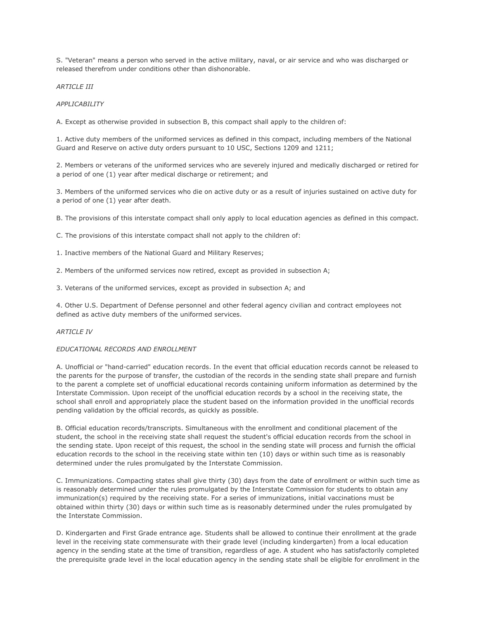S. "Veteran" means a person who served in the active military, naval, or air service and who was discharged or released therefrom under conditions other than dishonorable.

*ARTICLE III*

*APPLICABILITY*

A. Except as otherwise provided in subsection B, this compact shall apply to the children of:

1. Active duty members of the uniformed services as defined in this compact, including members of the National Guard and Reserve on active duty orders pursuant to 10 USC, Sections 1209 and 1211;

2. Members or veterans of the uniformed services who are severely injured and medically discharged or retired for a period of one (1) year after medical discharge or retirement; and

3. Members of the uniformed services who die on active duty or as a result of injuries sustained on active duty for a period of one (1) year after death.

B. The provisions of this interstate compact shall only apply to local education agencies as defined in this compact.

C. The provisions of this interstate compact shall not apply to the children of:

1. Inactive members of the National Guard and Military Reserves;

2. Members of the uniformed services now retired, except as provided in subsection A;

3. Veterans of the uniformed services, except as provided in subsection A; and

4. Other U.S. Department of Defense personnel and other federal agency civilian and contract employees not defined as active duty members of the uniformed services.

#### **ARTICLE IV**

### *EDUCATIONAL RECORDS AND ENROLLMENT*

A. Unofficial or "hand-carried" education records. In the event that official education records cannot be released to the parents for the purpose of transfer, the custodian of the records in the sending state shall prepare and furnish to the parent a complete set of unofficial educational records containing uniform information as determined by the Interstate Commission. Upon receipt of the unofficial education records by a school in the receiving state, the school shall enroll and appropriately place the student based on the information provided in the unofficial records pending validation by the official records, as quickly as possible.

B. Official education records/transcripts. Simultaneous with the enrollment and conditional placement of the student, the school in the receiving state shall request the student's official education records from the school in the sending state. Upon receipt of this request, the school in the sending state will process and furnish the official education records to the school in the receiving state within ten (10) days or within such time as is reasonably determined under the rules promulgated by the Interstate Commission.

C. Immunizations. Compacting states shall give thirty (30) days from the date of enrollment or within such time as is reasonably determined under the rules promulgated by the Interstate Commission for students to obtain any immunization(s) required by the receiving state. For a series of immunizations, initial vaccinations must be obtained within thirty (30) days or within such time as is reasonably determined under the rules promulgated by the Interstate Commission.

D. Kindergarten and First Grade entrance age. Students shall be allowed to continue their enrollment at the grade level in the receiving state commensurate with their grade level (including kindergarten) from a local education agency in the sending state at the time of transition, regardless of age. A student who has satisfactorily completed the prerequisite grade level in the local education agency in the sending state shall be eligible for enrollment in the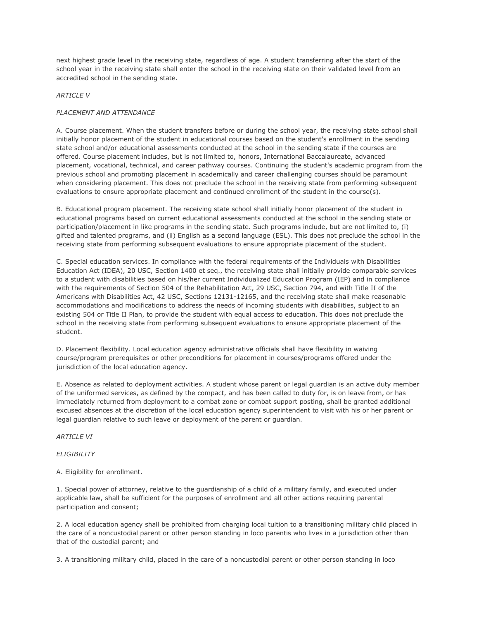next highest grade level in the receiving state, regardless of age. A student transferring after the start of the school year in the receiving state shall enter the school in the receiving state on their validated level from an accredited school in the sending state.

## *ARTICLE V*

# *PLACEMENT AND ATTENDANCE*

A. Course placement. When the student transfers before or during the school year, the receiving state school shall initially honor placement of the student in educational courses based on the student's enrollment in the sending state school and/or educational assessments conducted at the school in the sending state if the courses are offered. Course placement includes, but is not limited to, honors, International Baccalaureate, advanced placement, vocational, technical, and career pathway courses. Continuing the student's academic program from the previous school and promoting placement in academically and career challenging courses should be paramount when considering placement. This does not preclude the school in the receiving state from performing subsequent evaluations to ensure appropriate placement and continued enrollment of the student in the course(s).

B. Educational program placement. The receiving state school shall initially honor placement of the student in educational programs based on current educational assessments conducted at the school in the sending state or participation/placement in like programs in the sending state. Such programs include, but are not limited to, (i) gifted and talented programs, and (ii) English as a second language (ESL). This does not preclude the school in the receiving state from performing subsequent evaluations to ensure appropriate placement of the student.

C. Special education services. In compliance with the federal requirements of the Individuals with Disabilities Education Act (IDEA), 20 USC, Section 1400 et seq., the receiving state shall initially provide comparable services to a student with disabilities based on his/her current Individualized Education Program (IEP) and in compliance with the requirements of Section 504 of the Rehabilitation Act, 29 USC, Section 794, and with Title II of the Americans with Disabilities Act, 42 USC, Sections 12131-12165, and the receiving state shall make reasonable accommodations and modifications to address the needs of incoming students with disabilities, subject to an existing 504 or Title II Plan, to provide the student with equal access to education. This does not preclude the school in the receiving state from performing subsequent evaluations to ensure appropriate placement of the student.

D. Placement flexibility. Local education agency administrative officials shall have flexibility in waiving course/program prerequisites or other preconditions for placement in courses/programs offered under the jurisdiction of the local education agency.

E. Absence as related to deployment activities. A student whose parent or legal guardian is an active duty member of the uniformed services, as defined by the compact, and has been called to duty for, is on leave from, or has immediately returned from deployment to a combat zone or combat support posting, shall be granted additional excused absences at the discretion of the local education agency superintendent to visit with his or her parent or legal guardian relative to such leave or deployment of the parent or guardian.

*ARTICLE VI*

### *ELIGIBILITY*

A. Eligibility for enrollment.

1. Special power of attorney, relative to the guardianship of a child of a military family, and executed under applicable law, shall be sufficient for the purposes of enrollment and all other actions requiring parental participation and consent;

2. A local education agency shall be prohibited from charging local tuition to a transitioning military child placed in the care of a noncustodial parent or other person standing in loco parentis who lives in a jurisdiction other than that of the custodial parent; and

3. A transitioning military child, placed in the care of a noncustodial parent or other person standing in loco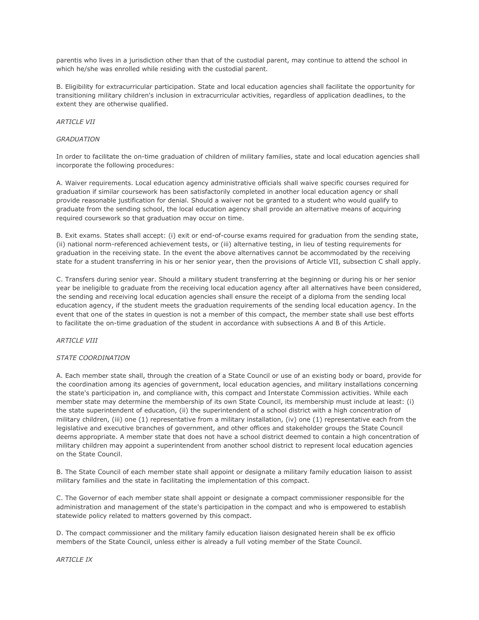parentis who lives in a jurisdiction other than that of the custodial parent, may continue to attend the school in which he/she was enrolled while residing with the custodial parent.

B. Eligibility for extracurricular participation. State and local education agencies shall facilitate the opportunity for transitioning military children's inclusion in extracurricular activities, regardless of application deadlines, to the extent they are otherwise qualified.

## **ARTICI F VII**

## *GRADUATION*

In order to facilitate the on-time graduation of children of military families, state and local education agencies shall incorporate the following procedures:

A. Waiver requirements. Local education agency administrative officials shall waive specific courses required for graduation if similar coursework has been satisfactorily completed in another local education agency or shall provide reasonable justification for denial. Should a waiver not be granted to a student who would qualify to graduate from the sending school, the local education agency shall provide an alternative means of acquiring required coursework so that graduation may occur on time.

B. Exit exams. States shall accept: (i) exit or end-of-course exams required for graduation from the sending state, (ii) national norm-referenced achievement tests, or (iii) alternative testing, in lieu of testing requirements for graduation in the receiving state. In the event the above alternatives cannot be accommodated by the receiving state for a student transferring in his or her senior year, then the provisions of Article VII, subsection C shall apply.

C. Transfers during senior year. Should a military student transferring at the beginning or during his or her senior year be ineligible to graduate from the receiving local education agency after all alternatives have been considered, the sending and receiving local education agencies shall ensure the receipt of a diploma from the sending local education agency, if the student meets the graduation requirements of the sending local education agency. In the event that one of the states in question is not a member of this compact, the member state shall use best efforts to facilitate the on-time graduation of the student in accordance with subsections A and B of this Article.

## *ARTICLE VIII*

### *STATE COORDINATION*

A. Each member state shall, through the creation of a State Council or use of an existing body or board, provide for the coordination among its agencies of government, local education agencies, and military installations concerning the state's participation in, and compliance with, this compact and Interstate Commission activities. While each member state may determine the membership of its own State Council, its membership must include at least: (i) the state superintendent of education, (ii) the superintendent of a school district with a high concentration of military children, (iii) one (1) representative from a military installation, (iv) one (1) representative each from the legislative and executive branches of government, and other offices and stakeholder groups the State Council deems appropriate. A member state that does not have a school district deemed to contain a high concentration of military children may appoint a superintendent from another school district to represent local education agencies on the State Council.

B. The State Council of each member state shall appoint or designate a military family education liaison to assist military families and the state in facilitating the implementation of this compact.

C. The Governor of each member state shall appoint or designate a compact commissioner responsible for the administration and management of the state's participation in the compact and who is empowered to establish statewide policy related to matters governed by this compact.

D. The compact commissioner and the military family education liaison designated herein shall be ex officio members of the State Council, unless either is already a full voting member of the State Council.

*ARTICLE IX*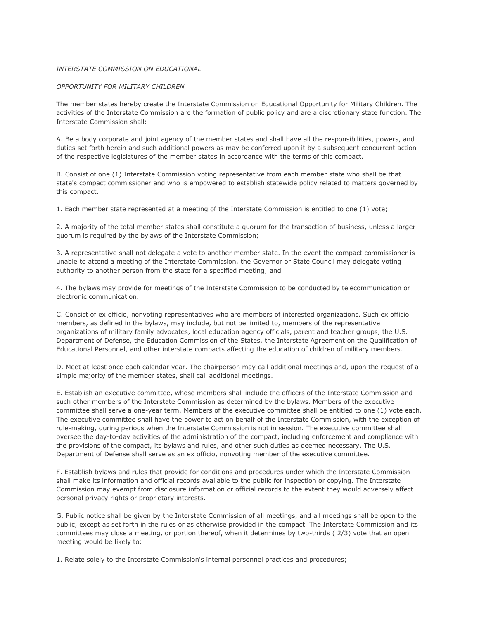## *INTERSTATE COMMISSION ON EDUCATIONAL*

## *OPPORTUNITY FOR MILITARY CHILDREN*

The member states hereby create the Interstate Commission on Educational Opportunity for Military Children. The activities of the Interstate Commission are the formation of public policy and are a discretionary state function. The Interstate Commission shall:

A. Be a body corporate and joint agency of the member states and shall have all the responsibilities, powers, and duties set forth herein and such additional powers as may be conferred upon it by a subsequent concurrent action of the respective legislatures of the member states in accordance with the terms of this compact.

B. Consist of one (1) Interstate Commission voting representative from each member state who shall be that state's compact commissioner and who is empowered to establish statewide policy related to matters governed by this compact.

1. Each member state represented at a meeting of the Interstate Commission is entitled to one (1) vote;

2. A majority of the total member states shall constitute a quorum for the transaction of business, unless a larger quorum is required by the bylaws of the Interstate Commission;

3. A representative shall not delegate a vote to another member state. In the event the compact commissioner is unable to attend a meeting of the Interstate Commission, the Governor or State Council may delegate voting authority to another person from the state for a specified meeting; and

4. The bylaws may provide for meetings of the Interstate Commission to be conducted by telecommunication or electronic communication.

C. Consist of ex officio, nonvoting representatives who are members of interested organizations. Such ex officio members, as defined in the bylaws, may include, but not be limited to, members of the representative organizations of military family advocates, local education agency officials, parent and teacher groups, the U.S. Department of Defense, the Education Commission of the States, the Interstate Agreement on the Qualification of Educational Personnel, and other interstate compacts affecting the education of children of military members.

D. Meet at least once each calendar year. The chairperson may call additional meetings and, upon the request of a simple majority of the member states, shall call additional meetings.

E. Establish an executive committee, whose members shall include the officers of the Interstate Commission and such other members of the Interstate Commission as determined by the bylaws. Members of the executive committee shall serve a one-year term. Members of the executive committee shall be entitled to one (1) vote each. The executive committee shall have the power to act on behalf of the Interstate Commission, with the exception of rule-making, during periods when the Interstate Commission is not in session. The executive committee shall oversee the day-to-day activities of the administration of the compact, including enforcement and compliance with the provisions of the compact, its bylaws and rules, and other such duties as deemed necessary. The U.S. Department of Defense shall serve as an ex officio, nonvoting member of the executive committee.

F. Establish bylaws and rules that provide for conditions and procedures under which the Interstate Commission shall make its information and official records available to the public for inspection or copying. The Interstate Commission may exempt from disclosure information or official records to the extent they would adversely affect personal privacy rights or proprietary interests.

G. Public notice shall be given by the Interstate Commission of all meetings, and all meetings shall be open to the public, except as set forth in the rules or as otherwise provided in the compact. The Interstate Commission and its committees may close a meeting, or portion thereof, when it determines by two-thirds ( 2/3) vote that an open meeting would be likely to:

1. Relate solely to the Interstate Commission's internal personnel practices and procedures;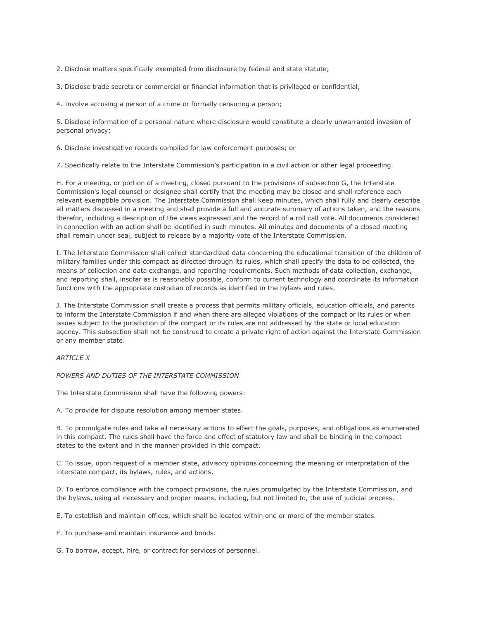2. Disclose matters specifically exempted from disclosure by federal and state statute;

3. Disclose trade secrets or commercial or financial information that is privileged or confidential;

4. Involve accusing a person of a crime or formally censuring a person;

5. Disclose information of a personal nature where disclosure would constitute a clearly unwarranted invasion of personal privacy;

6. Disclose investigative records compiled for law enforcement purposes; or

7. Specifically relate to the Interstate Commission's participation in a civil action or other legal proceeding.

H. For a meeting, or portion of a meeting, closed pursuant to the provisions of subsection G, the Interstate Commission's legal counsel or designee shall certify that the meeting may be closed and shall reference each relevant exemptible provision. The Interstate Commission shall keep minutes, which shall fully and clearly describe all matters discussed in a meeting and shall provide a full and accurate summary of actions taken, and the reasons therefor, including a description of the views expressed and the record of a roll call vote. All documents considered in connection with an action shall be identified in such minutes. All minutes and documents of a closed meeting shall remain under seal, subject to release by a majority vote of the Interstate Commission.

I. The Interstate Commission shall collect standardized data concerning the educational transition of the children of military families under this compact as directed through its rules, which shall specify the data to be collected, the means of collection and data exchange, and reporting requirements. Such methods of data collection, exchange, and reporting shall, insofar as is reasonably possible, conform to current technology and coordinate its information functions with the appropriate custodian of records as identified in the bylaws and rules.

J. The Interstate Commission shall create a process that permits military officials, education officials, and parents to inform the Interstate Commission if and when there are alleged violations of the compact or its rules or when issues subject to the jurisdiction of the compact or its rules are not addressed by the state or local education agency. This subsection shall not be construed to create a private right of action against the Interstate Commission or any member state.

## *ARTICLE X*

*POWERS AND DUTIES OF THE INTERSTATE COMMISSION*

The Interstate Commission shall have the following powers:

A. To provide for dispute resolution among member states.

B. To promulgate rules and take all necessary actions to effect the goals, purposes, and obligations as enumerated in this compact. The rules shall have the force and effect of statutory law and shall be binding in the compact states to the extent and in the manner provided in this compact.

C. To issue, upon request of a member state, advisory opinions concerning the meaning or interpretation of the interstate compact, its bylaws, rules, and actions.

D. To enforce compliance with the compact provisions, the rules promulgated by the Interstate Commission, and the bylaws, using all necessary and proper means, including, but not limited to, the use of judicial process.

E. To establish and maintain offices, which shall be located within one or more of the member states.

F. To purchase and maintain insurance and bonds.

G. To borrow, accept, hire, or contract for services of personnel.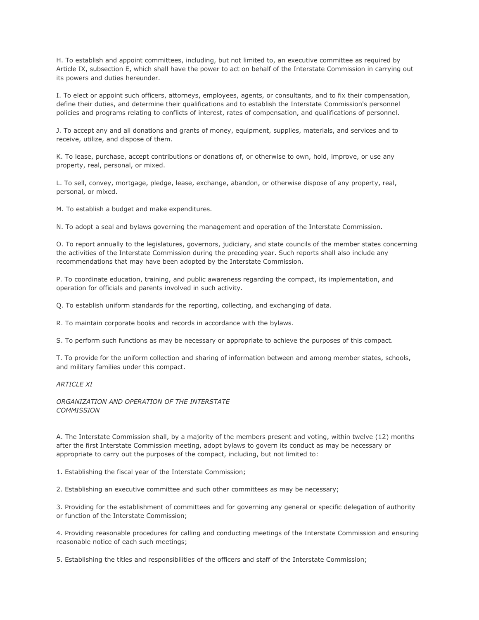H. To establish and appoint committees, including, but not limited to, an executive committee as required by Article IX, subsection E, which shall have the power to act on behalf of the Interstate Commission in carrying out its powers and duties hereunder.

I. To elect or appoint such officers, attorneys, employees, agents, or consultants, and to fix their compensation, define their duties, and determine their qualifications and to establish the Interstate Commission's personnel policies and programs relating to conflicts of interest, rates of compensation, and qualifications of personnel.

J. To accept any and all donations and grants of money, equipment, supplies, materials, and services and to receive, utilize, and dispose of them.

K. To lease, purchase, accept contributions or donations of, or otherwise to own, hold, improve, or use any property, real, personal, or mixed.

L. To sell, convey, mortgage, pledge, lease, exchange, abandon, or otherwise dispose of any property, real, personal, or mixed.

M. To establish a budget and make expenditures.

N. To adopt a seal and bylaws governing the management and operation of the Interstate Commission.

O. To report annually to the legislatures, governors, judiciary, and state councils of the member states concerning the activities of the Interstate Commission during the preceding year. Such reports shall also include any recommendations that may have been adopted by the Interstate Commission.

P. To coordinate education, training, and public awareness regarding the compact, its implementation, and operation for officials and parents involved in such activity.

Q. To establish uniform standards for the reporting, collecting, and exchanging of data.

R. To maintain corporate books and records in accordance with the bylaws.

S. To perform such functions as may be necessary or appropriate to achieve the purposes of this compact.

T. To provide for the uniform collection and sharing of information between and among member states, schools, and military families under this compact.

*ARTICLE XI*

*ORGANIZATION AND OPERATION OF THE INTERSTATE COMMISSION*

A. The Interstate Commission shall, by a majority of the members present and voting, within twelve (12) months after the first Interstate Commission meeting, adopt bylaws to govern its conduct as may be necessary or appropriate to carry out the purposes of the compact, including, but not limited to:

1. Establishing the fiscal year of the Interstate Commission;

2. Establishing an executive committee and such other committees as may be necessary;

3. Providing for the establishment of committees and for governing any general or specific delegation of authority or function of the Interstate Commission;

4. Providing reasonable procedures for calling and conducting meetings of the Interstate Commission and ensuring reasonable notice of each such meetings;

5. Establishing the titles and responsibilities of the officers and staff of the Interstate Commission;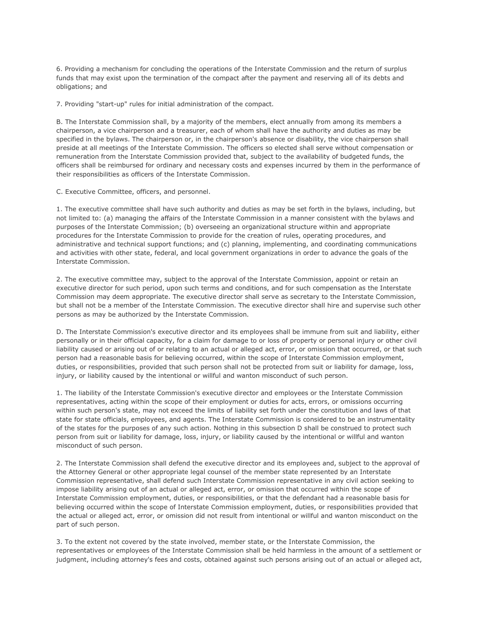6. Providing a mechanism for concluding the operations of the Interstate Commission and the return of surplus funds that may exist upon the termination of the compact after the payment and reserving all of its debts and obligations; and

7. Providing "start-up" rules for initial administration of the compact.

B. The Interstate Commission shall, by a majority of the members, elect annually from among its members a chairperson, a vice chairperson and a treasurer, each of whom shall have the authority and duties as may be specified in the bylaws. The chairperson or, in the chairperson's absence or disability, the vice chairperson shall preside at all meetings of the Interstate Commission. The officers so elected shall serve without compensation or remuneration from the Interstate Commission provided that, subject to the availability of budgeted funds, the officers shall be reimbursed for ordinary and necessary costs and expenses incurred by them in the performance of their responsibilities as officers of the Interstate Commission.

C. Executive Committee, officers, and personnel.

1. The executive committee shall have such authority and duties as may be set forth in the bylaws, including, but not limited to: (a) managing the affairs of the Interstate Commission in a manner consistent with the bylaws and purposes of the Interstate Commission; (b) overseeing an organizational structure within and appropriate procedures for the Interstate Commission to provide for the creation of rules, operating procedures, and administrative and technical support functions; and (c) planning, implementing, and coordinating communications and activities with other state, federal, and local government organizations in order to advance the goals of the Interstate Commission.

2. The executive committee may, subject to the approval of the Interstate Commission, appoint or retain an executive director for such period, upon such terms and conditions, and for such compensation as the Interstate Commission may deem appropriate. The executive director shall serve as secretary to the Interstate Commission, but shall not be a member of the Interstate Commission. The executive director shall hire and supervise such other persons as may be authorized by the Interstate Commission.

D. The Interstate Commission's executive director and its employees shall be immune from suit and liability, either personally or in their official capacity, for a claim for damage to or loss of property or personal injury or other civil liability caused or arising out of or relating to an actual or alleged act, error, or omission that occurred, or that such person had a reasonable basis for believing occurred, within the scope of Interstate Commission employment, duties, or responsibilities, provided that such person shall not be protected from suit or liability for damage, loss, injury, or liability caused by the intentional or willful and wanton misconduct of such person.

1. The liability of the Interstate Commission's executive director and employees or the Interstate Commission representatives, acting within the scope of their employment or duties for acts, errors, or omissions occurring within such person's state, may not exceed the limits of liability set forth under the constitution and laws of that state for state officials, employees, and agents. The Interstate Commission is considered to be an instrumentality of the states for the purposes of any such action. Nothing in this subsection D shall be construed to protect such person from suit or liability for damage, loss, injury, or liability caused by the intentional or willful and wanton misconduct of such person.

2. The Interstate Commission shall defend the executive director and its employees and, subject to the approval of the Attorney General or other appropriate legal counsel of the member state represented by an Interstate Commission representative, shall defend such Interstate Commission representative in any civil action seeking to impose liability arising out of an actual or alleged act, error, or omission that occurred within the scope of Interstate Commission employment, duties, or responsibilities, or that the defendant had a reasonable basis for believing occurred within the scope of Interstate Commission employment, duties, or responsibilities provided that the actual or alleged act, error, or omission did not result from intentional or willful and wanton misconduct on the part of such person.

3. To the extent not covered by the state involved, member state, or the Interstate Commission, the representatives or employees of the Interstate Commission shall be held harmless in the amount of a settlement or judgment, including attorney's fees and costs, obtained against such persons arising out of an actual or alleged act,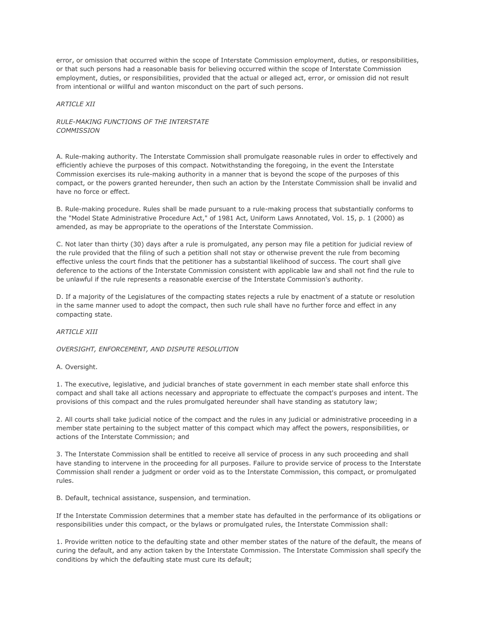error, or omission that occurred within the scope of Interstate Commission employment, duties, or responsibilities, or that such persons had a reasonable basis for believing occurred within the scope of Interstate Commission employment, duties, or responsibilities, provided that the actual or alleged act, error, or omission did not result from intentional or willful and wanton misconduct on the part of such persons.

## *ARTICLE XII*

# *RULE-MAKING FUNCTIONS OF THE INTERSTATE COMMISSION*

A. Rule-making authority. The Interstate Commission shall promulgate reasonable rules in order to effectively and efficiently achieve the purposes of this compact. Notwithstanding the foregoing, in the event the Interstate Commission exercises its rule-making authority in a manner that is beyond the scope of the purposes of this compact, or the powers granted hereunder, then such an action by the Interstate Commission shall be invalid and have no force or effect.

B. Rule-making procedure. Rules shall be made pursuant to a rule-making process that substantially conforms to the "Model State Administrative Procedure Act," of 1981 Act, Uniform Laws Annotated, Vol. 15, p. 1 (2000) as amended, as may be appropriate to the operations of the Interstate Commission.

C. Not later than thirty (30) days after a rule is promulgated, any person may file a petition for judicial review of the rule provided that the filing of such a petition shall not stay or otherwise prevent the rule from becoming effective unless the court finds that the petitioner has a substantial likelihood of success. The court shall give deference to the actions of the Interstate Commission consistent with applicable law and shall not find the rule to be unlawful if the rule represents a reasonable exercise of the Interstate Commission's authority.

D. If a majority of the Legislatures of the compacting states rejects a rule by enactment of a statute or resolution in the same manner used to adopt the compact, then such rule shall have no further force and effect in any compacting state.

## *ARTICLE XIII*

# *OVERSIGHT, ENFORCEMENT, AND DISPUTE RESOLUTION*

### A. Oversight.

1. The executive, legislative, and judicial branches of state government in each member state shall enforce this compact and shall take all actions necessary and appropriate to effectuate the compact's purposes and intent. The provisions of this compact and the rules promulgated hereunder shall have standing as statutory law;

2. All courts shall take judicial notice of the compact and the rules in any judicial or administrative proceeding in a member state pertaining to the subject matter of this compact which may affect the powers, responsibilities, or actions of the Interstate Commission; and

3. The Interstate Commission shall be entitled to receive all service of process in any such proceeding and shall have standing to intervene in the proceeding for all purposes. Failure to provide service of process to the Interstate Commission shall render a judgment or order void as to the Interstate Commission, this compact, or promulgated rules.

B. Default, technical assistance, suspension, and termination.

If the Interstate Commission determines that a member state has defaulted in the performance of its obligations or responsibilities under this compact, or the bylaws or promulgated rules, the Interstate Commission shall:

1. Provide written notice to the defaulting state and other member states of the nature of the default, the means of curing the default, and any action taken by the Interstate Commission. The Interstate Commission shall specify the conditions by which the defaulting state must cure its default;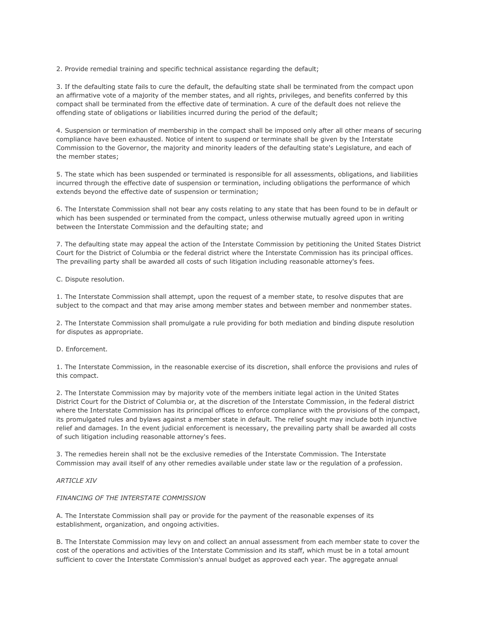2. Provide remedial training and specific technical assistance regarding the default;

3. If the defaulting state fails to cure the default, the defaulting state shall be terminated from the compact upon an affirmative vote of a majority of the member states, and all rights, privileges, and benefits conferred by this compact shall be terminated from the effective date of termination. A cure of the default does not relieve the offending state of obligations or liabilities incurred during the period of the default;

4. Suspension or termination of membership in the compact shall be imposed only after all other means of securing compliance have been exhausted. Notice of intent to suspend or terminate shall be given by the Interstate Commission to the Governor, the majority and minority leaders of the defaulting state's Legislature, and each of the member states;

5. The state which has been suspended or terminated is responsible for all assessments, obligations, and liabilities incurred through the effective date of suspension or termination, including obligations the performance of which extends beyond the effective date of suspension or termination;

6. The Interstate Commission shall not bear any costs relating to any state that has been found to be in default or which has been suspended or terminated from the compact, unless otherwise mutually agreed upon in writing between the Interstate Commission and the defaulting state; and

7. The defaulting state may appeal the action of the Interstate Commission by petitioning the United States District Court for the District of Columbia or the federal district where the Interstate Commission has its principal offices. The prevailing party shall be awarded all costs of such litigation including reasonable attorney's fees.

C. Dispute resolution.

1. The Interstate Commission shall attempt, upon the request of a member state, to resolve disputes that are subject to the compact and that may arise among member states and between member and nonmember states.

2. The Interstate Commission shall promulgate a rule providing for both mediation and binding dispute resolution for disputes as appropriate.

## D. Enforcement.

1. The Interstate Commission, in the reasonable exercise of its discretion, shall enforce the provisions and rules of this compact.

2. The Interstate Commission may by majority vote of the members initiate legal action in the United States District Court for the District of Columbia or, at the discretion of the Interstate Commission, in the federal district where the Interstate Commission has its principal offices to enforce compliance with the provisions of the compact, its promulgated rules and bylaws against a member state in default. The relief sought may include both injunctive relief and damages. In the event judicial enforcement is necessary, the prevailing party shall be awarded all costs of such litigation including reasonable attorney's fees.

3. The remedies herein shall not be the exclusive remedies of the Interstate Commission. The Interstate Commission may avail itself of any other remedies available under state law or the regulation of a profession.

### *ARTICLE XIV*

### *FINANCING OF THE INTERSTATE COMMISSION*

A. The Interstate Commission shall pay or provide for the payment of the reasonable expenses of its establishment, organization, and ongoing activities.

B. The Interstate Commission may levy on and collect an annual assessment from each member state to cover the cost of the operations and activities of the Interstate Commission and its staff, which must be in a total amount sufficient to cover the Interstate Commission's annual budget as approved each year. The aggregate annual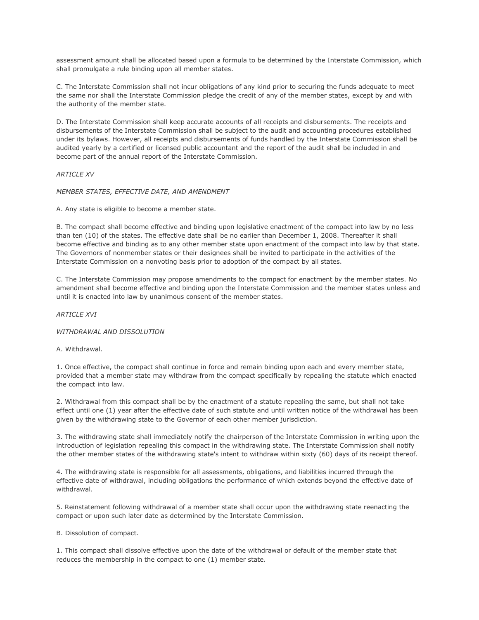assessment amount shall be allocated based upon a formula to be determined by the Interstate Commission, which shall promulgate a rule binding upon all member states.

C. The Interstate Commission shall not incur obligations of any kind prior to securing the funds adequate to meet the same nor shall the Interstate Commission pledge the credit of any of the member states, except by and with the authority of the member state.

D. The Interstate Commission shall keep accurate accounts of all receipts and disbursements. The receipts and disbursements of the Interstate Commission shall be subject to the audit and accounting procedures established under its bylaws. However, all receipts and disbursements of funds handled by the Interstate Commission shall be audited yearly by a certified or licensed public accountant and the report of the audit shall be included in and become part of the annual report of the Interstate Commission.

### *ARTICLE XV*

*MEMBER STATES, EFFECTIVE DATE, AND AMENDMENT*

A. Any state is eligible to become a member state.

B. The compact shall become effective and binding upon legislative enactment of the compact into law by no less than ten (10) of the states. The effective date shall be no earlier than December 1, 2008. Thereafter it shall become effective and binding as to any other member state upon enactment of the compact into law by that state. The Governors of nonmember states or their designees shall be invited to participate in the activities of the Interstate Commission on a nonvoting basis prior to adoption of the compact by all states.

C. The Interstate Commission may propose amendments to the compact for enactment by the member states. No amendment shall become effective and binding upon the Interstate Commission and the member states unless and until it is enacted into law by unanimous consent of the member states.

### *ARTICLE XVI*

## *WITHDRAWAL AND DISSOLUTION*

A. Withdrawal.

1. Once effective, the compact shall continue in force and remain binding upon each and every member state, provided that a member state may withdraw from the compact specifically by repealing the statute which enacted the compact into law.

2. Withdrawal from this compact shall be by the enactment of a statute repealing the same, but shall not take effect until one (1) year after the effective date of such statute and until written notice of the withdrawal has been given by the withdrawing state to the Governor of each other member jurisdiction.

3. The withdrawing state shall immediately notify the chairperson of the Interstate Commission in writing upon the introduction of legislation repealing this compact in the withdrawing state. The Interstate Commission shall notify the other member states of the withdrawing state's intent to withdraw within sixty (60) days of its receipt thereof.

4. The withdrawing state is responsible for all assessments, obligations, and liabilities incurred through the effective date of withdrawal, including obligations the performance of which extends beyond the effective date of withdrawal.

5. Reinstatement following withdrawal of a member state shall occur upon the withdrawing state reenacting the compact or upon such later date as determined by the Interstate Commission.

## B. Dissolution of compact.

1. This compact shall dissolve effective upon the date of the withdrawal or default of the member state that reduces the membership in the compact to one (1) member state.